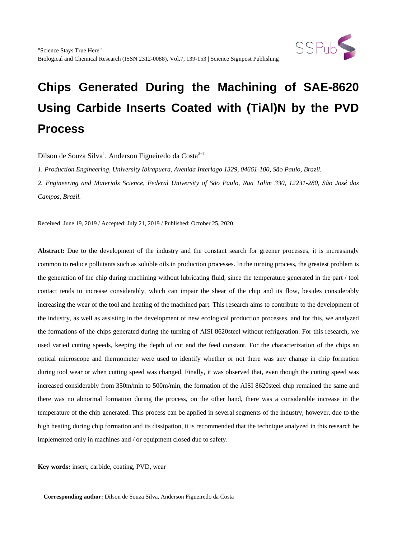

Dilson de Souza Silva<sup>1</sup>, Anderson Figueiredo da Costa<sup>2-1</sup>

*1. Production Engineering, University Ibirapuera, Avenida Interlago 1329, 04661-100, São Paulo, Brazil.*

*2. Engineering and Materials Science, Federal University of São Paulo, Rua Talim 330, 12231-280, São José dos Campos, Brazil.*

Received: June 19, 2019 / Accepted: July 21, 2019 / Published: October 25, 2020

Abstract: Due to the development of the industry and the constant search for greener processes, it is increasingly common to reduce pollutants such as soluble oils in production processes. In the turning process, the greatest problem is the generation of the chip during machining without lubricating fluid, since the temperature generated in the part / tool contact tends to increase considerably, which can impair the shear of the chip and its flow, besides considerably increasing the wear of the tool and heating of the machined part. This research aims to contribute to the development of the industry, as well as assisting in the development of new ecological production processes, and for this, we analyzed the formations of the chips generated during the turning of AISI 8620steel without refrigeration. For this research, we used varied cutting speeds, keeping the depth of cut and the feed constant. For the characterization of the chips an optical microscope and thermometer were used to identify whether or not there was any change in chip formation during tool wear or when cutting speed was changed. Finally, it was observed that, even though the cutting speed was increased considerably from 350m/min to 500m/min, the formation of the AISI 8620steel chip remained the same and there was no abnormal formation during the process, on the other hand, there was a considerable increase in the temperature of the chip generated. This process can be applied in several segments of the industry, however, due to the high heating during chip formation and its dissipation, it is recommended that the technique analyzed in this research be implemented only in machines and / or equipment closed due to safety.

**Key words:** insert, carbide, coating, PVD, wear

 $\overline{a}$ 

**Corresponding author:** Dilson de Souza Silva, Anderson Figueiredo da Costa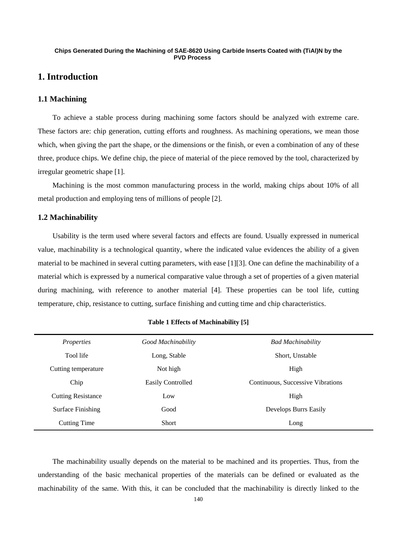# **1. Introduction**

## **1.1 Machining**

 To achieve a stable process during machining some factors should be analyzed with extreme care. These factors are: chip generation, cutting efforts and roughness. As machining operations, we mean those which, when giving the part the shape, or the dimensions or the finish, or even a combination of any of these three, produce chips. We define chip, the piece of material of the piece removed by the tool, characterized by irregular geometric shape [1].

 Machining is the most common manufacturing process in the world, making chips about 10% of all metal production and employing tens of millions of people [2].

## **1.2 Machinability**

 Usability is the term used where several factors and effects are found. Usually expressed in numerical value, machinability is a technological quantity, where the indicated value evidences the ability of a given material to be machined in several cutting parameters, with ease [1][3]. One can define the machinability of a material which is expressed by a numerical comparative value through a set of properties of a given material during machining, with reference to another material [4]. These properties can be tool life, cutting temperature, chip, resistance to cutting, surface finishing and cutting time and chip characteristics.

| Properties                | Good Machinability | <b>Bad Machinability</b>          |
|---------------------------|--------------------|-----------------------------------|
| Tool life                 | Long, Stable       | Short, Unstable                   |
| Cutting temperature       | Not high           | High                              |
| Chip                      | Easily Controlled  | Continuous, Successive Vibrations |
| <b>Cutting Resistance</b> | Low                | High                              |
| <b>Surface Finishing</b>  | Good               | Develops Burrs Easily             |
| Cutting Time              | <b>Short</b>       | Long                              |

## **Table 1 Effects of Machinability [5]**

 The machinability usually depends on the material to be machined and its properties. Thus, from the understanding of the basic mechanical properties of the materials can be defined or evaluated as the machinability of the same. With this, it can be concluded that the machinability is directly linked to the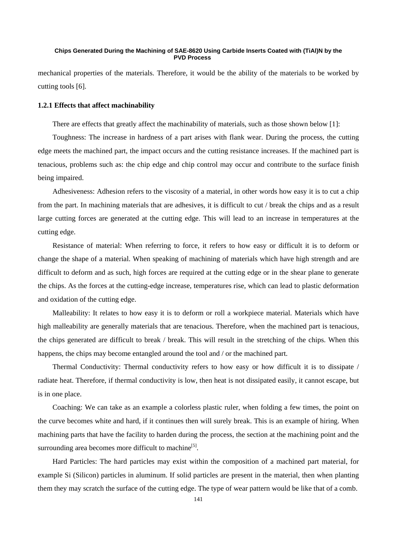mechanical properties of the materials. Therefore, it would be the ability of the materials to be worked by cutting tools [6].

## **1.2.1 Effects that affect machinability**

There are effects that greatly affect the machinability of materials, such as those shown below [1]:

 Toughness: The increase in hardness of a part arises with flank wear. During the process, the cutting edge meets the machined part, the impact occurs and the cutting resistance increases. If the machined part is tenacious, problems such as: the chip edge and chip control may occur and contribute to the surface finish being impaired.

 Adhesiveness: Adhesion refers to the viscosity of a material, in other words how easy it is to cut a chip from the part. In machining materials that are adhesives, it is difficult to cut / break the chips and as a result large cutting forces are generated at the cutting edge. This will lead to an increase in temperatures at the cutting edge.

 Resistance of material: When referring to force, it refers to how easy or difficult it is to deform or change the shape of a material. When speaking of machining of materials which have high strength and are difficult to deform and as such, high forces are required at the cutting edge or in the shear plane to generate the chips. As the forces at the cutting-edge increase, temperatures rise, which can lead to plastic deformation and oxidation of the cutting edge.

 Malleability: It relates to how easy it is to deform or roll a workpiece material. Materials which have high malleability are generally materials that are tenacious. Therefore, when the machined part is tenacious, the chips generated are difficult to break / break. This will result in the stretching of the chips. When this happens, the chips may become entangled around the tool and / or the machined part.

 Thermal Conductivity: Thermal conductivity refers to how easy or how difficult it is to dissipate / radiate heat. Therefore, if thermal conductivity is low, then heat is not dissipated easily, it cannot escape, but is in one place.

 Coaching: We can take as an example a colorless plastic ruler, when folding a few times, the point on the curve becomes white and hard, if it continues then will surely break. This is an example of hiring. When machining parts that have the facility to harden during the process, the section at the machining point and the surrounding area becomes more difficult to machine<sup>[5]</sup>.

 Hard Particles: The hard particles may exist within the composition of a machined part material, for example Si (Silicon) particles in aluminum. If solid particles are present in the material, then when planting them they may scratch the surface of the cutting edge. The type of wear pattern would be like that of a comb.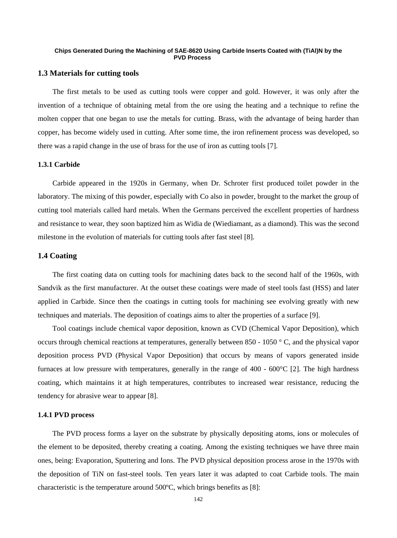## **1.3 Materials for cutting tools**

 The first metals to be used as cutting tools were copper and gold. However, it was only after the invention of a technique of obtaining metal from the ore using the heating and a technique to refine the molten copper that one began to use the metals for cutting. Brass, with the advantage of being harder than copper, has become widely used in cutting. After some time, the iron refinement process was developed, so there was a rapid change in the use of brass for the use of iron as cutting tools [7].

## **1.3.1 Carbide**

 Carbide appeared in the 1920s in Germany, when Dr. Schroter first produced toilet powder in the laboratory. The mixing of this powder, especially with Co also in powder, brought to the market the group of cutting tool materials called hard metals. When the Germans perceived the excellent properties of hardness and resistance to wear, they soon baptized him as Widia de (Wiediamant, as a diamond). This was the second milestone in the evolution of materials for cutting tools after fast steel [8].

## **1.4 Coating**

 The first coating data on cutting tools for machining dates back to the second half of the 1960s, with Sandvik as the first manufacturer. At the outset these coatings were made of steel tools fast (HSS) and later applied in Carbide. Since then the coatings in cutting tools for machining see evolving greatly with new techniques and materials. The deposition of coatings aims to alter the properties of a surface [9].

 Tool coatings include chemical vapor deposition, known as CVD (Chemical Vapor Deposition), which occurs through chemical reactions at temperatures, generally between 850 - 1050 ° C, and the physical vapor deposition process PVD (Physical Vapor Deposition) that occurs by means of vapors generated inside furnaces at low pressure with temperatures, generally in the range of  $400 - 600^{\circ}C$  [2]. The high hardness coating, which maintains it at high temperatures, contributes to increased wear resistance, reducing the tendency for abrasive wear to appear [8].

## **1.4.1 PVD process**

 The PVD process forms a layer on the substrate by physically depositing atoms, ions or molecules of the element to be deposited, thereby creating a coating. Among the existing techniques we have three main ones, being: Evaporation, Sputtering and Ions. The PVD physical deposition process arose in the 1970s with the deposition of TiN on fast-steel tools. Ten years later it was adapted to coat Carbide tools. The main characteristic is the temperature around 500ºC, which brings benefits as [8]: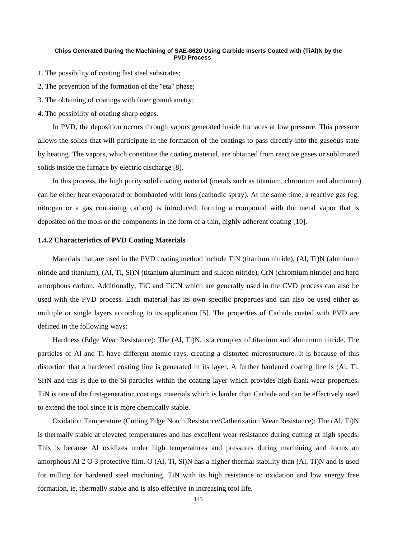- 1. The possibility of coating fast steel substrates;
- 2. The prevention of the formation of the "eta" phase;
- 3. The obtaining of coatings with finer granulometry;
- 4. The possibility of coating sharp edges.

 In PVD, the deposition occurs through vapors generated inside furnaces at low pressure. This pressure allows the solids that will participate in the formation of the coatings to pass directly into the gaseous state by heating. The vapors, which constitute the coating material, are obtained from reactive gases or sublimated solids inside the furnace by electric discharge [8].

 In this process, the high purity solid coating material (metals such as titanium, chromium and aluminum) can be either heat evaporated or bombarded with ions (cathodic spray). At the same time, a reactive gas (eg, nitrogen or a gas containing carbon) is introduced; forming a compound with the metal vapor that is deposited on the tools or the components in the form of a thin, highly adherent coating [10].

## **1.4.2 Characteristics of PVD Coating Materials**

 Materials that are used in the PVD coating method include TiN (titanium nitride), (Al, Ti)N (aluminum nitride and titanium), (Al, Ti, Si)N (titanium aluminum and silicon nitride), CrN (chromium nitride) and hard amorphous carbon. Additionally, TiC and TiCN which are generally used in the CVD process can also be used with the PVD process. Each material has its own specific properties and can also be used either as multiple or single layers according to its application [5]. The properties of Carbide coated with PVD are defined in the following ways:

 Hardness (Edge Wear Resistance): The (Al, Ti)N, is a complex of titanium and aluminum nitride. The particles of Al and Ti have different atomic rays, creating a distorted microstructure. It is because of this distortion that a hardened coating line is generated in its layer. A further hardened coating line is (Al, Ti, Si)N and this is due to the Si particles within the coating layer which provides high flank wear properties. TiN is one of the first-generation coatings materials which is harder than Carbide and can be effectively used to extend the tool since it is more chemically stable.

 Oxidation Temperature (Cutting Edge Notch Resistance/Catherization Wear Resistance): The (Al, Ti)N is thermally stable at elevated temperatures and has excellent wear resistance during cutting at high speeds. This is because Al oxidizes under high temperatures and pressures during machining and forms an amorphous Al 2 O 3 protective film. O (Al, Ti, Si)N has a higher thermal stability than (Al, Ti)N and is used for milling for hardened steel machining. TiN with its high resistance to oxidation and low energy free formation, ie, thermally stable and is also effective in increasing tool life.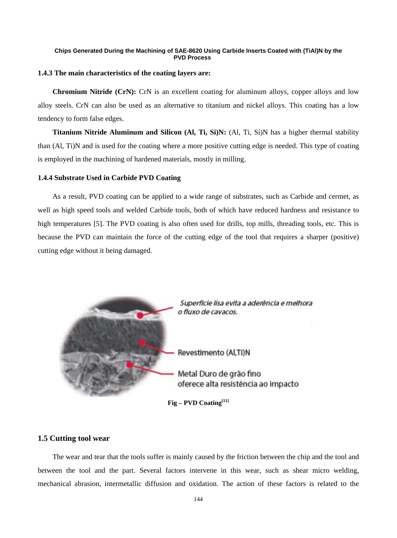## **1.4.3 The main characteristics of the coating layers are:**

 **Chromium Nitride (CrN):** CrN is an excellent coating for aluminum alloys, copper alloys and low alloy steels. CrN can also be used as an alternative to titanium and nickel alloys. This coating has a low tendency to form false edges.

 **Titanium Nitride Aluminum and Silicon (Al, Ti, Si)N:** (Al, Ti, Si)N has a higher thermal stability than (Al, Ti)N and is used for the coating where a more positive cutting edge is needed. This type of coating is employed in the machining of hardened materials, mostly in milling.

## **1.4.4 Substrate Used in Carbide PVD Coating**

 As a result, PVD coating can be applied to a wide range of substrates, such as Carbide and cermet, as well as high speed tools and welded Carbide tools, both of which have reduced hardness and resistance to high temperatures [5]. The PVD coating is also often used for drills, top mills, threading tools, etc. This is because the PVD can maintain the force of the cutting edge of the tool that requires a sharper (positive) cutting edge without it being damaged.



## **1.5 Cutting tool wear**

 The wear and tear that the tools suffer is mainly caused by the friction between the chip and the tool and between the tool and the part. Several factors intervene in this wear, such as shear micro welding, mechanical abrasion, intermetallic diffusion and oxidation. The action of these factors is related to the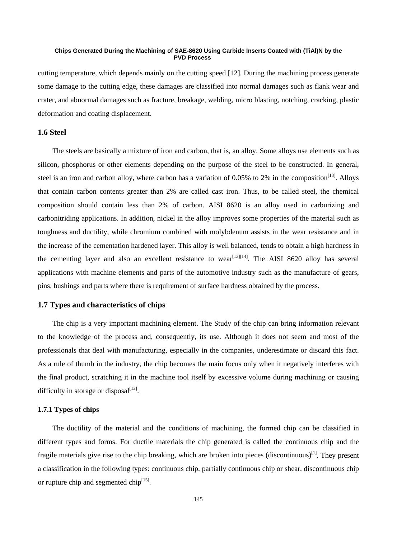cutting temperature, which depends mainly on the cutting speed [12]. During the machining process generate some damage to the cutting edge, these damages are classified into normal damages such as flank wear and crater, and abnormal damages such as fracture, breakage, welding, micro blasting, notching, cracking, plastic deformation and coating displacement.

## **1.6 Steel**

 The steels are basically a mixture of iron and carbon, that is, an alloy. Some alloys use elements such as silicon, phosphorus or other elements depending on the purpose of the steel to be constructed. In general, steel is an iron and carbon alloy, where carbon has a variation of 0.05% to 2% in the composition<sup>[13]</sup>. Alloys that contain carbon contents greater than 2% are called cast iron. Thus, to be called steel, the chemical composition should contain less than 2% of carbon. AISI 8620 is an alloy used in carburizing and carbonitriding applications. In addition, nickel in the alloy improves some properties of the material such as toughness and ductility, while chromium combined with molybdenum assists in the wear resistance and in the increase of the cementation hardened layer. This alloy is well balanced, tends to obtain a high hardness in the cementing layer and also an excellent resistance to wear<sup>[13][14]</sup>. The AISI 8620 alloy has several applications with machine elements and parts of the automotive industry such as the manufacture of gears, pins, bushings and parts where there is requirement of surface hardness obtained by the process.

## **1.7 Types and characteristics of chips**

 The chip is a very important machining element. The Study of the chip can bring information relevant to the knowledge of the process and, consequently, its use. Although it does not seem and most of the professionals that deal with manufacturing, especially in the companies, underestimate or discard this fact. As a rule of thumb in the industry, the chip becomes the main focus only when it negatively interferes with the final product, scratching it in the machine tool itself by excessive volume during machining or causing difficulty in storage or disposal $^{[12]}$ .

## **1.7.1 Types of chips**

 The ductility of the material and the conditions of machining, the formed chip can be classified in different types and forms. For ductile materials the chip generated is called the continuous chip and the fragile materials give rise to the chip breaking, which are broken into pieces (discontinuous)<sup>[1]</sup>. They present a classification in the following types: continuous chip, partially continuous chip or shear, discontinuous chip or rupture chip and segmented chip $^{[15]}$ .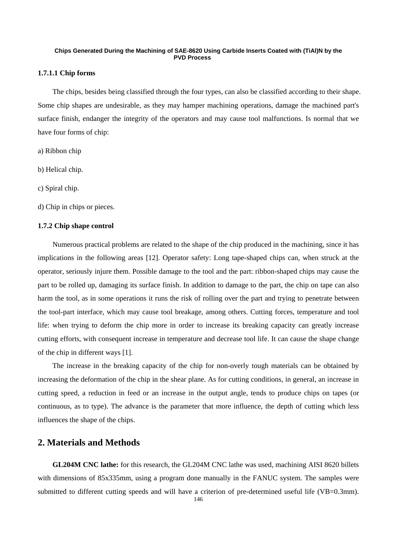## **1.7.1.1 Chip forms**

 The chips, besides being classified through the four types, can also be classified according to their shape. Some chip shapes are undesirable, as they may hamper machining operations, damage the machined part's surface finish, endanger the integrity of the operators and may cause tool malfunctions. Is normal that we have four forms of chip:

- a) Ribbon chip
- b) Helical chip.
- c) Spiral chip.
- d) Chip in chips or pieces.

## **1.7.2 Chip shape control**

 Numerous practical problems are related to the shape of the chip produced in the machining, since it has implications in the following areas [12]. Operator safety: Long tape-shaped chips can, when struck at the operator, seriously injure them. Possible damage to the tool and the part: ribbon-shaped chips may cause the part to be rolled up, damaging its surface finish. In addition to damage to the part, the chip on tape can also harm the tool, as in some operations it runs the risk of rolling over the part and trying to penetrate between the tool-part interface, which may cause tool breakage, among others. Cutting forces, temperature and tool life: when trying to deform the chip more in order to increase its breaking capacity can greatly increase cutting efforts, with consequent increase in temperature and decrease tool life. It can cause the shape change of the chip in different ways [1].

 The increase in the breaking capacity of the chip for non-overly tough materials can be obtained by increasing the deformation of the chip in the shear plane. As for cutting conditions, in general, an increase in cutting speed, a reduction in feed or an increase in the output angle, tends to produce chips on tapes (or continuous, as to type). The advance is the parameter that more influence, the depth of cutting which less influences the shape of the chips.

## **2. Materials and Methods**

 **GL204M CNC lathe:** for this research, the GL204M CNC lathe was used, machining AISI 8620 billets with dimensions of 85x335mm, using a program done manually in the FANUC system. The samples were submitted to different cutting speeds and will have a criterion of pre-determined useful life (VB=0.3mm).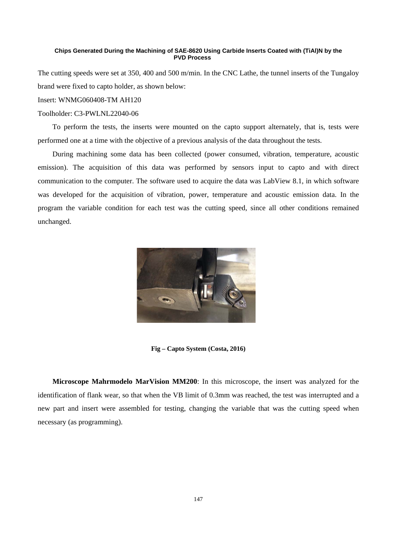The cutting speeds were set at 350, 400 and 500 m/min. In the CNC Lathe, the tunnel inserts of the Tungaloy brand were fixed to capto holder, as shown below:

## Insert: WNMG060408-TM AH120

## Toolholder: C3-PWLNL22040-06

 To perform the tests, the inserts were mounted on the capto support alternately, that is, tests were performed one at a time with the objective of a previous analysis of the data throughout the tests.

 During machining some data has been collected (power consumed, vibration, temperature, acoustic emission). The acquisition of this data was performed by sensors input to capto and with direct communication to the computer. The software used to acquire the data was LabView 8.1, in which software was developed for the acquisition of vibration, power, temperature and acoustic emission data. In the program the variable condition for each test was the cutting speed, since all other conditions remained unchanged.



**Fig – Capto System (Costa, 2016)**

 **Microscope Mahrmodelo MarVision MM200**: In this microscope, the insert was analyzed for the identification of flank wear, so that when the VB limit of 0.3mm was reached, the test was interrupted and a new part and insert were assembled for testing, changing the variable that was the cutting speed when necessary (as programming).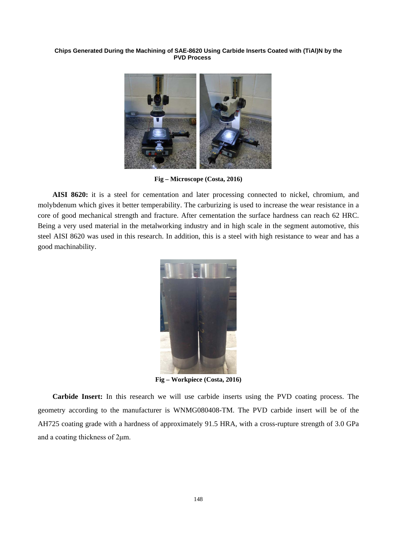

**Fig – Microscope (Costa, 2016)**

 **AISI 8620:** it is a steel for cementation and later processing connected to nickel, chromium, and molybdenum which gives it better temperability. The carburizing is used to increase the wear resistance in a core of good mechanical strength and fracture. After cementation the surface hardness can reach 62 HRC. Being a very used material in the metalworking industry and in high scale in the segment automotive, this steel AISI 8620 was used in this research. In addition, this is a steel with high resistance to wear and has a good machinability.



**Fig – Workpiece (Costa, 2016)**

 **Carbide Insert:** In this research we will use carbide inserts using the PVD coating process. The geometry according to the manufacturer is WNMG080408-TM. The PVD carbide insert will be of the AH725 coating grade with a hardness of approximately 91.5 HRA, with a cross-rupture strength of 3.0 GPa and a coating thickness of 2μm.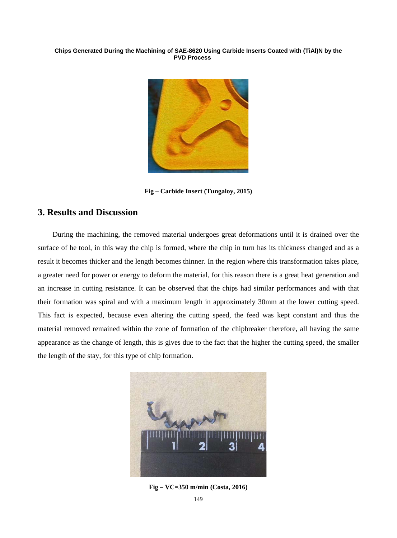

**Fig – Carbide Insert (Tungaloy, 2015)**

# **3. Results and Discussion**

 During the machining, the removed material undergoes great deformations until it is drained over the surface of he tool, in this way the chip is formed, where the chip in turn has its thickness changed and as a result it becomes thicker and the length becomes thinner. In the region where this transformation takes place, a greater need for power or energy to deform the material, for this reason there is a great heat generation and an increase in cutting resistance. It can be observed that the chips had similar performances and with that their formation was spiral and with a maximum length in approximately 30mm at the lower cutting speed. This fact is expected, because even altering the cutting speed, the feed was kept constant and thus the material removed remained within the zone of formation of the chipbreaker therefore, all having the same appearance as the change of length, this is gives due to the fact that the higher the cutting speed, the smaller the length of the stay, for this type of chip formation.



**Fig – VC=350 m/min (Costa, 2016)**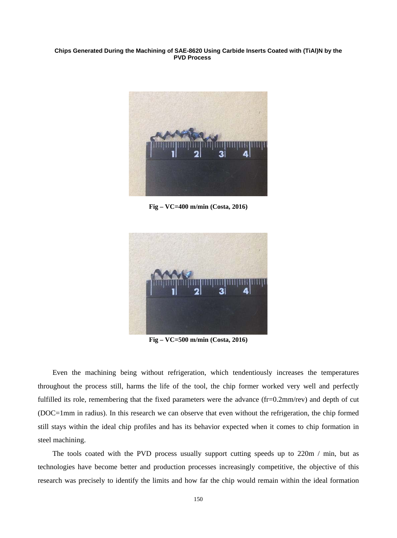

**Fig – VC=400 m/min (Costa, 2016)**



**Fig – VC=500 m/min (Costa, 2016)**

 Even the machining being without refrigeration, which tendentiously increases the temperatures throughout the process still, harms the life of the tool, the chip former worked very well and perfectly fulfilled its role, remembering that the fixed parameters were the advance (fr=0.2mm/rev) and depth of cut (DOC=1mm in radius). In this research we can observe that even without the refrigeration, the chip formed still stays within the ideal chip profiles and has its behavior expected when it comes to chip formation in steel machining.

The tools coated with the PVD process usually support cutting speeds up to 220m / min, but as technologies have become better and production processes increasingly competitive, the objective of this research was precisely to identify the limits and how far the chip would remain within the ideal formation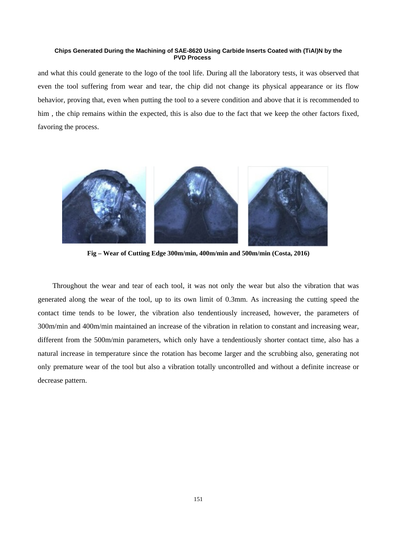and what this could generate to the logo of the tool life. During all the laboratory tests, it was observed that even the tool suffering from wear and tear, the chip did not change its physical appearance or its flow behavior, proving that, even when putting the tool to a severe condition and above that it is recommended to him, the chip remains within the expected, this is also due to the fact that we keep the other factors fixed, favoring the process.



**Fig – Wear of Cutting Edge 300m/min, 400m/min and 500m/min (Costa, 2016)**

 Throughout the wear and tear of each tool, it was not only the wear but also the vibration that was generated along the wear of the tool, up to its own limit of 0.3mm. As increasing the cutting speed the contact time tends to be lower, the vibration also tendentiously increased, however, the parameters of 300m/min and 400m/min maintained an increase of the vibration in relation to constant and increasing wear, different from the 500m/min parameters, which only have a tendentiously shorter contact time, also has a natural increase in temperature since the rotation has become larger and the scrubbing also, generating not only premature wear of the tool but also a vibration totally uncontrolled and without a definite increase or decrease pattern.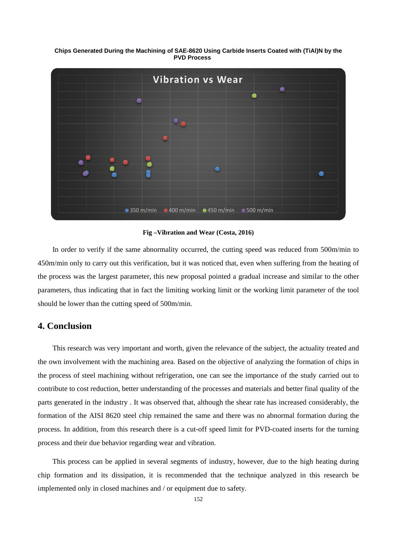**Chips Generated During the Machining of SAE-8620 Using Carbide Inserts Coated with (TiAl)N by the PVD Process**



**Fig –Vibration and Wear (Costa, 2016)**

 In order to verify if the same abnormality occurred, the cutting speed was reduced from 500m/min to 450m/min only to carry out this verification, but it was noticed that, even when suffering from the heating of the process was the largest parameter, this new proposal pointed a gradual increase and similar to the other parameters, thus indicating that in fact the limiting working limit or the working limit parameter of the tool should be lower than the cutting speed of 500m/min.

## **4. Conclusion**

 This research was very important and worth, given the relevance of the subject, the actuality treated and the own involvement with the machining area. Based on the objective of analyzing the formation of chips in the process of steel machining without refrigeration, one can see the importance of the study carried out to contribute to cost reduction, better understanding of the processes and materials and better final quality of the parts generated in the industry . It was observed that, although the shear rate has increased considerably, the formation of the AISI 8620 steel chip remained the same and there was no abnormal formation during the process. In addition, from this research there is a cut-off speed limit for PVD-coated inserts for the turning process and their due behavior regarding wear and vibration.

 This process can be applied in several segments of industry, however, due to the high heating during chip formation and its dissipation, it is recommended that the technique analyzed in this research be implemented only in closed machines and / or equipment due to safety.